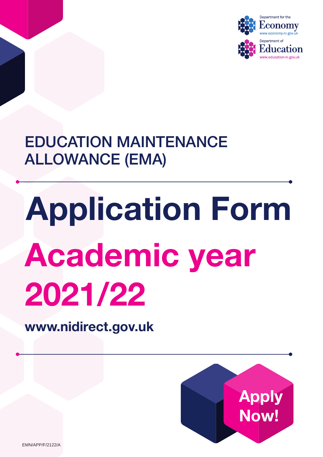

EDUCATION MAINTENANCE ALLOWANCE (EMA)

# Application Form Academic year 2021/22

<www.nidirect.gov.uk>



EMN/APP/F/2122/A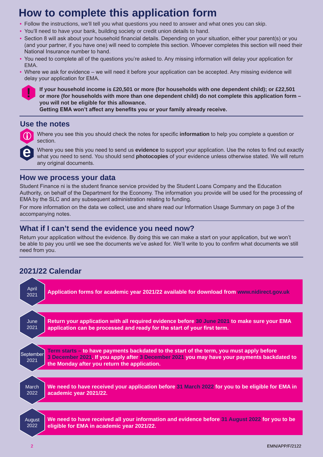### **How to complete this application form**

- Follow the instructions, we'll tell you what questions you need to answer and what ones you can skip.
- You'll need to have your bank, building society or credit union details to hand.
- Section 8 will ask about your household financial details. Depending on your situation, either your parent(s) or you (and your partner, if you have one) will need to complete this section. Whoever completes this section will need their National Insurance number to hand.
- You need to complete all of the questions you're asked to. Any missing information will delay your application for EMA.
- Where we ask for evidence we will need it before your application can be accepted. Any missing evidence will delay your application for EMA.



**If your household income is £20,501 or more (for households with one dependent child); or £22,501 or more (for households with more than one dependent child) do not complete this application form – you will not be eligible for this allowance. Getting EMA won't affect any benefits you or your family already receive.**

### **Use the notes**



i Where you see this you should check the notes for specific **information** to help you complete a question or section.

Where you see this you need to send us **evidence** to support your application. Use the notes to find out exactly what you need to send. You should send **photocopies** of your evidence unless otherwise stated. We will return any original documents.

### **How we process your data**

Student Finance ni is the student finance service provided by the Student Loans Company and the Education Authority, on behalf of the Department for the Economy. The information you provide will be used for the processing of EMA by the SLC and any subsequent administration relating to funding.

For more information on the data we collect, use and share read our Information Usage Summary on page 3 of the accompanying notes.

### **What if I can't send the evidence you need now?**

Return your application without the evidence. By doing this we can make a start on your application, but we won't be able to pay you until we see the documents we've asked for. We'll write to you to confirm what documents we still need from you.

### **2021/22 Calendar**

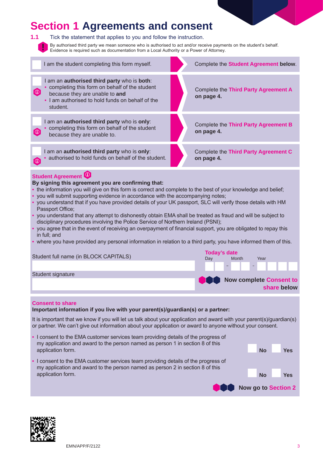### **Section 1 Agreements and consent**



**1.1** Tick the statement that applies to you and follow the instruction.

By authorised third party we mean someone who is authorised to act and/or receive payments on the student's behalf. Evidence is required such as documentation from a Local Authority or a Power of Attorney.



#### **By signing this agreement you are confirming that:**

- the information you will give on this form is correct and complete to the best of your knowledge and belief;
- you will submit supporting evidence in accordance with the accompanying notes;
- you understand that if you have provided details of your UK passport, SLC will verify those details with HM Passport Office;
- you understand that any attempt to dishonestly obtain EMA shall be treated as fraud and will be subject to disciplinary procedures involving the Police Service of Northern Ireland (PSNI);
- you agree that in the event of receiving an overpayment of financial support, you are obligated to repay this in full; and
- where you have provided any personal information in relation to a third party, you have informed them of this.

| Student full name (in BLOCK CAPITALS) | <b>Today's date</b> |       |                         |      |  |  |   |             |  |  |
|---------------------------------------|---------------------|-------|-------------------------|------|--|--|---|-------------|--|--|
|                                       | Dav                 | Month |                         | Year |  |  |   |             |  |  |
|                                       |                     |       |                         |      |  |  | . |             |  |  |
| Student signature                     |                     |       |                         |      |  |  |   |             |  |  |
|                                       |                     |       | Now complete Consent to |      |  |  |   | share below |  |  |

#### **Consent to share**

#### **Important information if you live with your parent(s)/guardian(s) or a partner:**

It is important that we know if you will let us talk about your application and award with your parent(s)/guardian(s) or partner. We can't give out information about your application or award to anyone without your consent.

| • I consent to the EMA customer services team providing details of the progress of<br>my application and award to the person named as person 1 in section 8 of this |           |                     |  |
|---------------------------------------------------------------------------------------------------------------------------------------------------------------------|-----------|---------------------|--|
| application form.                                                                                                                                                   | No        | <b>Yes</b>          |  |
| • I consent to the EMA customer services team providing details of the progress of<br>my application and award to the person named as person 2 in section 8 of this |           |                     |  |
| application form.                                                                                                                                                   | <b>No</b> | Yes                 |  |
|                                                                                                                                                                     |           | Now go to Section 2 |  |

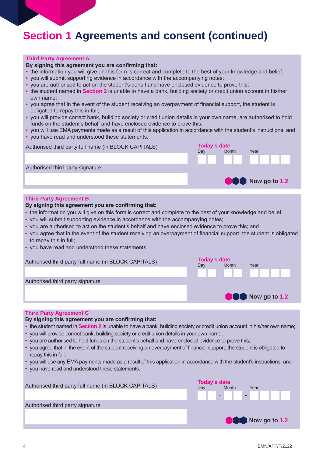### **Section 1 Agreements and consent (continued)**

#### **Third Party Agreement A**

#### **By signing this agreement you are confirming that:**

- the information you will give on this form is correct and complete to the best of your knowledge and belief;
- you will submit supporting evidence in accordance with the accompanying notes;
- you are authorised to act on the student's behalf and have enclosed evidence to prove this;
- the student named in **Section 2** is unable to have a bank, building society or credit union account in his/her own name;
- you agree that in the event of the student receiving an overpayment of financial support, the student is obligated to repay this in full;
- you will provide correct bank, building society or credit union details in your own name, are authorised to hold funds on the student's behalf and have enclosed evidence to prove this;
- you will use EMA payments made as a result of this application in accordance with the student's instructions; and • you have read and understood these statements.

| Authorised third party full name (in BLOCK CAPITALS) | <b>Today's date</b><br>Day | Month | Year          |
|------------------------------------------------------|----------------------------|-------|---------------|
|                                                      |                            |       | .             |
| Authorised third party signature                     |                            |       |               |
|                                                      |                            |       | Now go to 1.2 |

#### **Third Party Agreement B**

#### **By signing this agreement you are confirming that:**

- the information you will give on this form is correct and complete to the best of your knowledge and belief;
- you will submit supporting evidence in accordance with the accompanying notes;
- you are authorised to act on the student's behalf and have enclosed evidence to prove this; and
- you agree that in the event of the student receiving an overpayment of financial support, the student is obligated to repay this in full;
- you have read and understood these statements.

| Authorised third party full name (in BLOCK CAPITALS) | Today's date<br>Month<br>Dav |  | Year          |  |  |  |
|------------------------------------------------------|------------------------------|--|---------------|--|--|--|
|                                                      |                              |  |               |  |  |  |
| Authorised third party signature                     |                              |  |               |  |  |  |
|                                                      |                              |  | Now go to 1.2 |  |  |  |

#### **Third Party Agreement C**

#### **By signing this agreement you are confirming that:**

- the student named in **Section 2** is unable to have a bank, building society or credit union account in his/her own name;
- you will provide correct bank, building society or credit union details in your own name;
- you are authorised to hold funds on the student's behalf and have enclosed evidence to prove this;
- you agree that in the event of the student receiving an overpayment of financial support, the student is obligated to repay this in full;
- you will use any EMA payments made as a result of this application in accordance with the student's instructions; and
- you have read and understood these statements.

|                                                      | Today's date |       |               |  |
|------------------------------------------------------|--------------|-------|---------------|--|
| Authorised third party full name (in BLOCK CAPITALS) | Dav          | Month | Year          |  |
|                                                      |              | .     |               |  |
| Authorised third party signature                     |              |       |               |  |
|                                                      |              |       | Now go to 1.2 |  |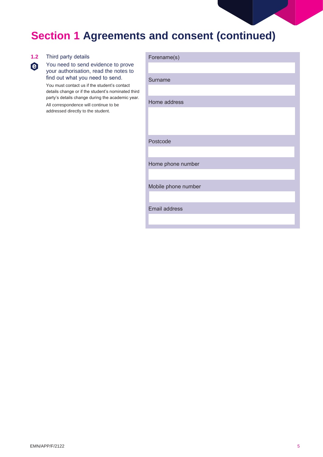

## **Section 1 Agreements and consent (continued)**

| Third party details                                                                                    | Forename(s)          |
|--------------------------------------------------------------------------------------------------------|----------------------|
| You need to send evidence to prove<br>your authorisation, read the notes to                            |                      |
| find out what you need to send.<br>You must contact us if the student's contact                        | Surname              |
| details change or if the student's nominated third<br>party's details change during the academic year. |                      |
| All correspondence will continue to be                                                                 | Home address         |
| addressed directly to the student.                                                                     |                      |
|                                                                                                        |                      |
|                                                                                                        | Postcode             |
|                                                                                                        |                      |
|                                                                                                        |                      |
|                                                                                                        | Home phone number    |
|                                                                                                        |                      |
|                                                                                                        | Mobile phone number  |
|                                                                                                        |                      |
|                                                                                                        | <b>Email address</b> |
|                                                                                                        |                      |
|                                                                                                        |                      |

 $1.2$ 

 $\ddot{\bm{\Theta}}$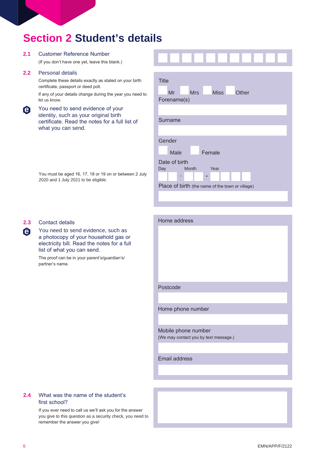### **Section 2 Student's details**

#### **2.1** Customer Reference Number

(If you don't have one yet, leave this blank.)

#### **2.2** Personal details

Complete these details exactly as stated on your birth certificate, passport or deed poll. If any of your details change during the year you need to

let us know.

| You need to send evidence of your              |
|------------------------------------------------|
| identity, such as your original birth          |
| certificate. Read the notes for a full list of |
| what you can send.                             |
|                                                |

| You must be aged 16, 17, 18 or 19 on or between 2 July |
|--------------------------------------------------------|
| 2020 and 1 July 2021 to be eligible.                   |

| <b>Title</b><br>Mr<br><b>Mrs</b><br><b>Miss</b><br>Other<br>Forename(s) |
|-------------------------------------------------------------------------|
| Surname                                                                 |
| Gender<br>Female<br>Male                                                |
| Date of birth<br>Month<br>Year<br>Day<br>-<br>−                         |
| Place of birth (the name of the town or village)                        |

#### **2.3** Contact details

**e**

You need to send evidence, such as a photocopy of your household gas or electricity bill. Read the notes for a full list of what you can send.

The proof can be in your parent's/guardian's/ partner's name.



Email address

#### **2.4** What was the name of the student's first school?

If you ever need to call us we'll ask you for the answer you give to this question as a security check, you need to remember the answer you give!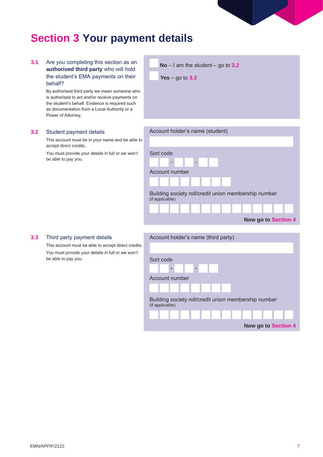

### **Section 3 Your payment details**

**3.1** Are you completing this section as an **authorised third party** who will hold the student's EMA payments on their behalf?

> By authorised third party we mean someone who is authorised to act and/or receive payments on the student's behalf. Evidence is required such as documentation from a Local Authority or a Power of Attorney.

### **3.2** Student payment details

This account must be in your name and be able to accept direct credits.

You must provide your details in full or we won't be able to pay you.

**No** – I am the student – go to **3.2**

**Yes** – go to **3.3**

| Account holder's name (student)                                         |
|-------------------------------------------------------------------------|
|                                                                         |
| Sort code                                                               |
| $\sim$<br>$\blacksquare$                                                |
| Account number                                                          |
|                                                                         |
| Building society roll/credit union membership number<br>(if applicable) |
|                                                                         |
| Now go to Section 4                                                     |

### **3.3** Third party payment details

This account must be able to accept direct credits. You must provide your details in full or we won't be able to pay you.

| Account holder's name (third party)                                     |
|-------------------------------------------------------------------------|
|                                                                         |
| Sort code                                                               |
| m,<br>$\sim$                                                            |
| Account number                                                          |
|                                                                         |
|                                                                         |
| Building society roll/credit union membership number<br>(if applicable) |
|                                                                         |
| Now go to Section 4                                                     |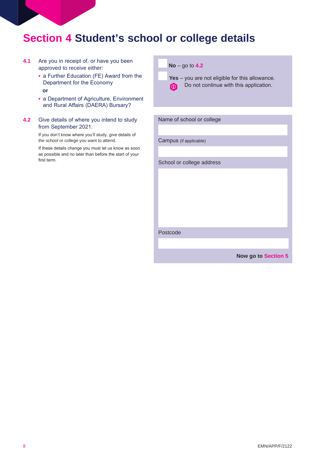### **Section 4 Student's school or college details**

- **4.1** Are you in receipt of, or have you been approved to receive either:
	- a Further Education (FE) Award from the Department for the Economy
		- **or**
	- a Department of Agriculture, Environment and Rural Affairs (DAERA) Bursary?
- **4.2** Give details of where you intend to study from September 2021.

If you don't know where you'll study, give details of the school or college you want to attend.

If these details change you must let us know as soon as possible and no later than before the start of your first term.

#### **No** – go to **4.2**

**Yes** – you are not eligible for this allowance.  $\odot$  Do not continue with this application.

| Name of school or college |
|---------------------------|
|                           |
| Campus (if applicable)    |
|                           |
| School or college address |
|                           |
|                           |
|                           |
|                           |
|                           |
|                           |
| Postcode                  |

**Now go to Section 5**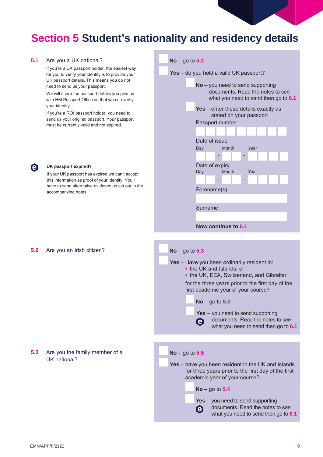### **Section 5 Student's nationality and residency details**

#### **5.1** Are you a UK national?

If you're a UK passport holder, the easiest way for you to verify your identity is to provide your UK passport details. This means you do not need to send us your passport.

We will share the passport details you give us with HM Passport Office so that we can verify your identity.

If you're a ROI passport holder, you need to send us your original passport. Your passport must be currently valid and not expired.

If your UK passport has expired we can't accept this information as proof of your identity. You'll have to send alternative evidence as set out in the



### **5.2** Are you an Irish citizen? **No** – go to **5.3**

**e UK passport expired?**

accompanying notes.

#### **5.3** Are you the family member of a UK national?

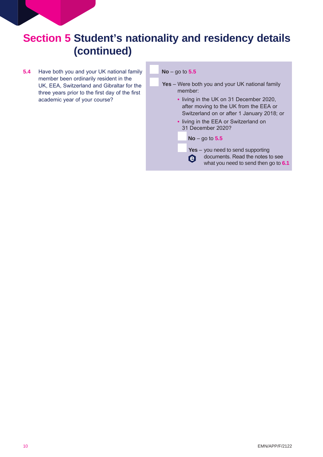**5.4** Have both you and your UK national family member been ordinarily resident in the UK, EEA, Switzerland and Gibraltar for the three years prior to the first day of the first academic year of your course?

#### **No** – go to **5.5**

- **Yes** Were both you and your UK national family member:
	- living in the UK on 31 December 2020, after moving to the UK from the EEA or Switzerland on or after 1 January 2018; or
	- living in the EEA or Switzerland on 31 December 2020?

#### **No** – go to **5.5**

**Yes** – you need to send supporting documents. Read the notes to see e what you need to send then go to **6.1**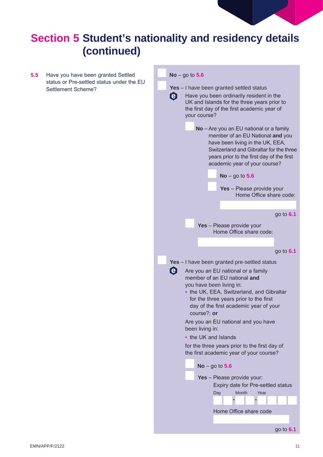

**5.5** Have you have been granted Settled status or Pre-settled status under the EU Settlement Scheme?

#### **No** – go to **5.6**

- **Yes** I have been granted settled status
- $\boldsymbol{\Theta}$ Have you been ordinarily resident in the UK and Islands for the three years prior to the first day of the first academic year of your course?
	- **No** Are you an EU national or a family member of an EU National **and** you have been living in the UK, EEA, Switzerland and Gibraltar for the three years prior to the first day of the first academic year of your course?
		- **No** go to **5.6**
		- **Yes** Please provide your Home Office share code:

#### go to **6.1**

**Yes** – Please provide your Home Office share code:

#### go to **6.1**

- **Yes** I have been granted pre-settled status A Are you an EU national or a family
	- member of an EU national **and** you have been living in:
	- **•** the UK, EEA, Switzerland, and Gibraltar for the three years prior to the first day of the first academic year of your course?; **or**
	- Are you an EU national and you have been living in:
	- **•** the UK and Islands
	- for the three years prior to the first day of the first academic year of your course?

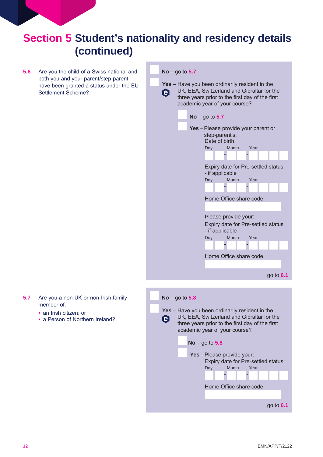**5.6** Are you the child of a Swiss national and both you and your parent/step-parent have been granted a status under the EU Settlement Scheme?

**No** – go to **5.7 Yes** – Have you been ordinarily resident in the UK, EEA, Switzerland and Gibraltar for the e three years prior to the first day of the first academic year of your course? **No** – go to **5.7 Yes** – Please provide your parent or step-parent's: Date of birth Day Month Year Expiry date for Pre-settled status - if applicable Day Month Year Home Office share code Please provide your: Expiry date for Pre-settled status - if applicable Day Month Year Home Office share code go to **6.1 No** – go to **5.8 Yes** – Have you been ordinarily resident in the UK, EEA, Switzerland and Gibraltar for the e three years prior to the first day of the first academic year of your course? **No** – go to **5.8 Yes** – Please provide your: Expiry date for Pre-settled status Day Month Year Home Office share code go to **6.1**

- **5.7** Are you a non-UK or non-Irish family member of:
	- an Irish citizen; or
	- a Person of Northern Ireland?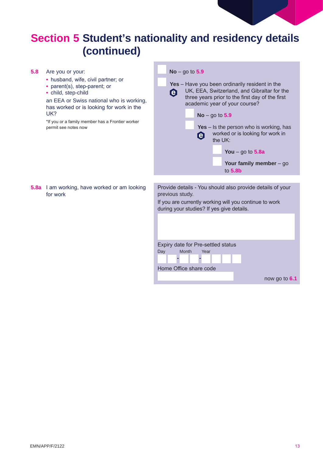| 5.8 | Are you or your:<br>• husband, wife, civil partner; or<br>• parent(s), step-parent; or<br>• child, step-child<br>an EEA or Swiss national who is working,<br>has worked or is looking for work in the<br>UK?<br>*If you or a family member has a Frontier worker<br>permit see notes now | $No - go to 5.9$<br>Yes - Have you been ordinarily resident in the<br>UK, EEA, Switzerland, and Gibraltar for the<br>Θ<br>three years prior to the first day of the first<br>academic year of your course?<br>$No - go to 5.9$<br>Yes $-$ Is the person who is working, has<br>worked or is looking for work in<br>$\boldsymbol{\Theta}$<br>the UK:<br>You $-$ go to 5.8a<br>Your family member $-$ go<br>to $5.8b$ |  |  |  |
|-----|------------------------------------------------------------------------------------------------------------------------------------------------------------------------------------------------------------------------------------------------------------------------------------------|---------------------------------------------------------------------------------------------------------------------------------------------------------------------------------------------------------------------------------------------------------------------------------------------------------------------------------------------------------------------------------------------------------------------|--|--|--|
|     | <b>5.8a</b> I am working, have worked or am looking<br>for work                                                                                                                                                                                                                          | Provide details - You should also provide details of your<br>previous study.<br>If you are currently working will you continue to work<br>during your studies? If yes give details.<br>Expiry date for Pre-settled status<br>Day<br>Month<br>Year<br>Home Office share code<br>now go to 6.1                                                                                                                        |  |  |  |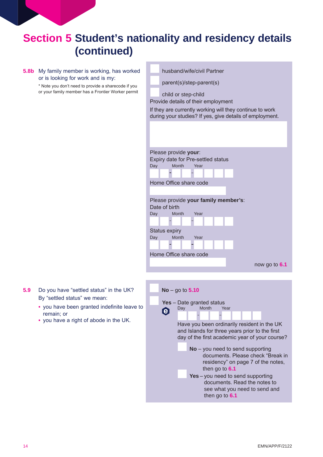#### **5.8b** My family member is working, has worked or is looking for work and is my:

\* Note you don't need to provide a sharecode if you or your family member has a Frontier Worker permit

|     |                                                                                                                                                                          | husband/wife/civil Partner                                                                                                                                                         |  |  |  |  |
|-----|--------------------------------------------------------------------------------------------------------------------------------------------------------------------------|------------------------------------------------------------------------------------------------------------------------------------------------------------------------------------|--|--|--|--|
|     | parent(s)/step-parent(s)                                                                                                                                                 |                                                                                                                                                                                    |  |  |  |  |
|     |                                                                                                                                                                          | child or step-child<br>Provide details of their employment<br>If they are currently working will they continue to work<br>during your studies? If yes, give details of employment. |  |  |  |  |
|     |                                                                                                                                                                          |                                                                                                                                                                                    |  |  |  |  |
| Day |                                                                                                                                                                          | Please provide your:<br>Expiry date for Pre-settled status<br>Month<br>Year                                                                                                        |  |  |  |  |
|     |                                                                                                                                                                          | Home Office share code                                                                                                                                                             |  |  |  |  |
|     | Please provide your family member's:<br>Date of birth<br>Month<br>Day<br>Year<br><b>Status expiry</b><br>Month<br>Year<br>Day<br>Home Office share code<br>now go to 6.1 |                                                                                                                                                                                    |  |  |  |  |
|     |                                                                                                                                                                          |                                                                                                                                                                                    |  |  |  |  |
|     | e                                                                                                                                                                        | <b>No</b> – go to $5.10$<br>Yes - Date granted status<br>Month<br>Day<br>Year                                                                                                      |  |  |  |  |
|     | Have you been ordinarily resident in the UK<br>and Islands for three years prior to the first<br>day of the first academic year of your course?                          |                                                                                                                                                                                    |  |  |  |  |
|     | $No$ – you need to send supporting<br>documents. Please check "Break in<br>residency" on page 7 of the notes,<br>then go to 6.1                                          |                                                                                                                                                                                    |  |  |  |  |
|     |                                                                                                                                                                          | Yes-you need to send supporting<br>documents. Read the notes to                                                                                                                    |  |  |  |  |

- **5.9** Do you have "settled status" in the UK? By "settled status" we mean:
	- **•** you have been granted indefinite leave to remain; or
	- **•** you have a right of abode in the UK.

see what you need to send and

then go to **6.1**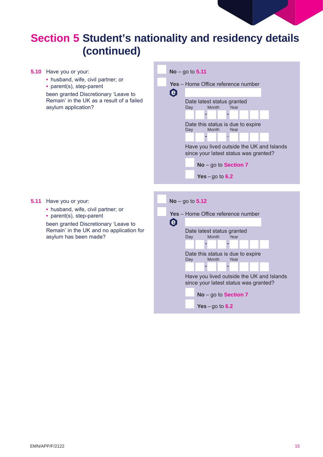

**5.10** Have you or your: **No** – go to **5.11 •** husband, wife, civil partner; or **Yes** – Home Office reference number **•** parent(s), step-parent e been granted Discretionary 'Leave to Remain' in the UK as a result of a failed Date latest status granted<br>Day Month Year asylum application? Month Date this status is due to expire<br>Day Month Year **Month** Have you lived outside the UK and Islands since your latest status was granted? **No** – go to **Section 7 Yes** – go to **6.2 5.11** Have you or your: **No** – go to **5.12 •** husband, wife, civil partner; or **Yes** – Home Office reference number **•** parent(s), step-parent  $\boldsymbol{\Theta}$ been granted Discretionary 'Leave to Remain' in the UK and no application for Date latest status granted<br>Day Month Year asylum has been made? Month Year Date this status is due to expire<br>Day Month Year Month Have you lived outside the UK and Islands since your latest status was granted? **No** – go to **Section 7 Yes** – go to **6.2**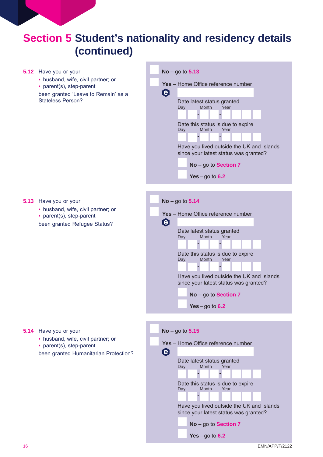| 5.12 | Have you or your:                                                                                                                        | <b>No</b> – go to $5.13$                                                                                                                                                                                                                                                                                             |
|------|------------------------------------------------------------------------------------------------------------------------------------------|----------------------------------------------------------------------------------------------------------------------------------------------------------------------------------------------------------------------------------------------------------------------------------------------------------------------|
|      | • husband, wife, civil partner; or<br>• parent(s), step-parent<br>been granted 'Leave to Remain' as a<br><b>Stateless Person?</b>        | Yes - Home Office reference number<br>$\boldsymbol{\Theta}$<br>Date latest status granted<br>Month<br>Year<br>Day<br>Date this status is due to expire<br>Day<br>Month<br>Year<br>Have you lived outside the UK and Islands<br>since your latest status was granted?<br>No - go to Section 7<br>Yes $-$ go to 6.2    |
|      |                                                                                                                                          |                                                                                                                                                                                                                                                                                                                      |
| 5.13 | Have you or your:<br>• husband, wife, civil partner; or<br>• parent(s), step-parent<br>been granted Refugee Status?                      | $No - go to 5.14$<br>Yes - Home Office reference number<br>Θ<br>Date latest status granted<br>Year<br>Day<br>Month<br>Date this status is due to expire<br>Month<br>Day<br>Year<br>Have you lived outside the UK and Islands<br>since your latest status was granted?<br>$No - go to Section 7$<br>Yes $-$ go to 6.2 |
|      | <b>5.14</b> Have you or your:<br>• husband, wife, civil partner; or<br>• parent(s), step-parent<br>been granted Humanitarian Protection? | $No - go to 5.15$<br>Yes - Home Office reference number<br>$\boldsymbol{\Theta}$<br>Date latest status granted<br>Month<br>Year<br>Day                                                                                                                                                                               |

Date this status is due to expire<br>Day Month Year Month Year

F.

Г a s

**No** – go to **Section 7**

**Yes** – go to **6.2**

Have you lived outside the UK and Islands since your latest status was granted?

and the state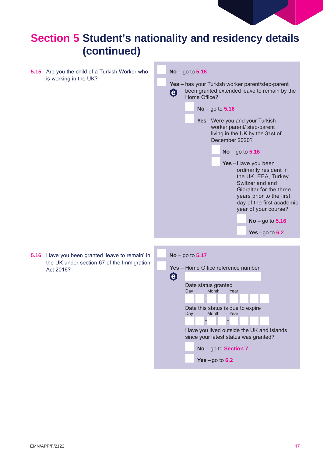

**5.15** Are you the child of a Turkish Worker who is working in the UK?



**5.16** Have you been granted 'leave to remain' in the UK under section 67 of the Immigration Act 2016?

| <b>No</b> – go to $5.17$                                                           |     |                   |              |                                           |  |  |  |  |  |
|------------------------------------------------------------------------------------|-----|-------------------|--------------|-------------------------------------------|--|--|--|--|--|
|                                                                                    |     |                   |              | <b>Yes</b> – Home Office reference number |  |  |  |  |  |
| <b>e</b>                                                                           |     |                   |              |                                           |  |  |  |  |  |
| Date status granted<br><b>Month</b><br>Year<br>Day                                 |     |                   |              |                                           |  |  |  |  |  |
|                                                                                    |     |                   |              |                                           |  |  |  |  |  |
|                                                                                    | Day |                   | <b>Month</b> | Date this status is due to expire<br>Year |  |  |  |  |  |
|                                                                                    |     |                   |              |                                           |  |  |  |  |  |
| Have you lived outside the UK and Islands<br>since your latest status was granted? |     |                   |              |                                           |  |  |  |  |  |
|                                                                                    |     |                   |              | $No - go to Section 7$                    |  |  |  |  |  |
|                                                                                    |     | Yes – go to $6.2$ |              |                                           |  |  |  |  |  |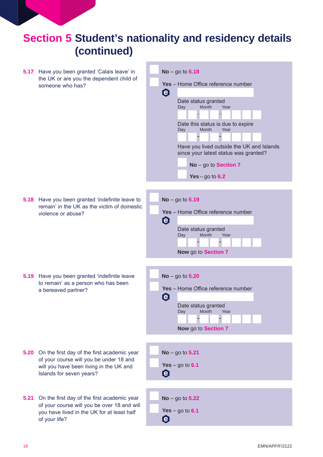- **5.17** Have you been granted 'Calais leave' in the UK or are you the dependent child of someone who has?
- **No** go to **5.18 Yes** – Home Office reference number Ô Date status granted<br>Day Month Year Month Date this status is due to expire<br>Day Month Year **Month** Have you lived outside the UK and Islands since your latest status was granted? **No** – go to **Section 7 Yes** – go to **6.2 No** – go to **5.19 Yes** – Home Office reference number 0 Date status granted<br>Day Month Year Month **Now** go to **Section 7 No** – go to **5.20 Yes** – Home Office reference number  $\boldsymbol{\Theta}$ Date status granted<br>Day Month Year Month **Now** go to **Section 7 No** – go to **5.21 Yes** – go to **6.1**  $\boldsymbol{\Theta}$ **No** – go to **5.22 Yes** – go to **6.1**Ô
- **5.18** Have you been granted 'indefinite leave to remain' in the UK as the victim of domestic violence or abuse?

**5.19** Have you been granted 'indefinite leave to remain' as a person who has been a bereaved partner?

- **5.20** On the first day of the first academic year of your course will you be under 18 and will you have been living in the UK and Islands for seven years?
- **5.21** On the first day of the first academic year of your course will you be over 18 and will you have lived in the UK for at least half of your life?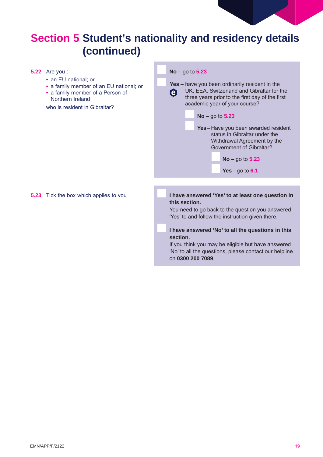|      | <b>5.22</b> Are you :<br>• an EU national; or<br>• a family member of an EU national; or<br>• a family member of a Person of<br>Northern Ireland<br>who is resident in Gibraltar? | $No - go to 5.23$<br>Yes – have you been ordinarily resident in the<br>UK, EEA, Switzerland and Gibraltar for the<br>$\boldsymbol{\Theta}$<br>three years prior to the first day of the first<br>academic year of your course?<br>$No - go to 5.23$<br>Yes-Have you been awarded resident<br>status in Gibraltar under the<br>Withdrawal Agreement by the<br><b>Government of Gibraltar?</b><br>$No - go to 5.23$<br>Yes $-$ go to 6.1 |
|------|-----------------------------------------------------------------------------------------------------------------------------------------------------------------------------------|----------------------------------------------------------------------------------------------------------------------------------------------------------------------------------------------------------------------------------------------------------------------------------------------------------------------------------------------------------------------------------------------------------------------------------------|
| 5.23 | Tick the box which applies to you                                                                                                                                                 | I have answered 'Yes' to at least one question in<br>this section.<br>You need to go back to the question you answered<br>'Yes' to and follow the instruction given there.<br>I have answered 'No' to all the questions in this<br>section.<br>If you think you may be eligible but have answered<br>'No' to all the questions, please contact our helpline<br>on 0300 200 7089.                                                       |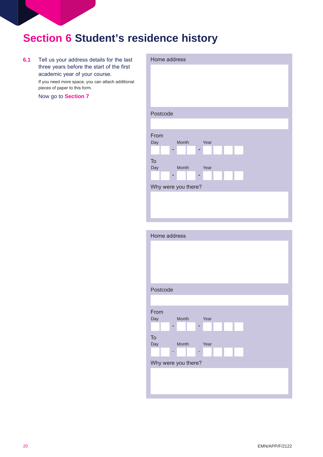### **Section 6 Student's residence history**

**6.1** Tell us your address details for the last three years before the start of the first academic year of your course.

> If you need more space, you can attach additional pieces of paper to this form.

Now go to **Section 7**



| Home address                |      |
|-----------------------------|------|
|                             |      |
|                             |      |
|                             |      |
|                             |      |
| Postcode                    |      |
|                             |      |
| From<br><b>Month</b><br>Day | Year |
| -                           | Е    |
| To<br>Day<br>Month          | Year |
| -                           | ۰    |
| Why were you there?         |      |
|                             |      |
|                             |      |
|                             |      |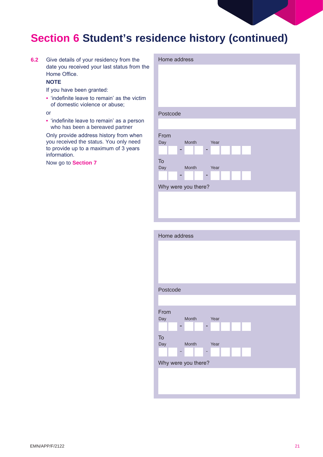

### **Section 6 Student's residence history (continued)**

**6.2** Give details of your residency from the date you received your last status from the Home Office.

### **NOTE**

If you have been granted:

**•** 'indefinite leave to remain' as the victim of domestic violence or abuse;

or

**•** 'indefinite leave to remain' as a person who has been a bereaved partner

Only provide address history from when you received the status. You only need to provide up to a maximum of 3 years information.

Now go to **Section 7**

| Home address         |  |  |  |  |  |
|----------------------|--|--|--|--|--|
|                      |  |  |  |  |  |
|                      |  |  |  |  |  |
|                      |  |  |  |  |  |
|                      |  |  |  |  |  |
|                      |  |  |  |  |  |
| Postcode             |  |  |  |  |  |
|                      |  |  |  |  |  |
|                      |  |  |  |  |  |
| From                 |  |  |  |  |  |
| Month<br>Day<br>Year |  |  |  |  |  |
|                      |  |  |  |  |  |
| To                   |  |  |  |  |  |
| Day<br>Month<br>Year |  |  |  |  |  |
| н                    |  |  |  |  |  |
| Why were you there?  |  |  |  |  |  |
|                      |  |  |  |  |  |
|                      |  |  |  |  |  |
|                      |  |  |  |  |  |
|                      |  |  |  |  |  |

| Home address         |  |  |  |  |
|----------------------|--|--|--|--|
|                      |  |  |  |  |
|                      |  |  |  |  |
|                      |  |  |  |  |
|                      |  |  |  |  |
| Postcode             |  |  |  |  |
|                      |  |  |  |  |
| From                 |  |  |  |  |
| Month<br>Year<br>Day |  |  |  |  |
|                      |  |  |  |  |
| To                   |  |  |  |  |
| Day<br>Month<br>Year |  |  |  |  |
| н                    |  |  |  |  |
| Why were you there?  |  |  |  |  |
|                      |  |  |  |  |
|                      |  |  |  |  |
|                      |  |  |  |  |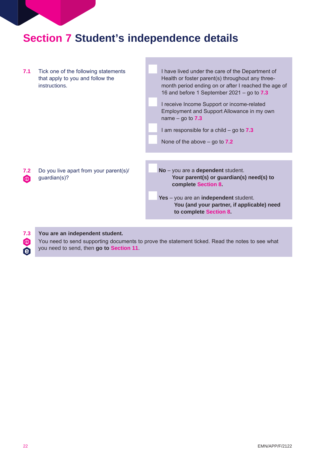### **Section 7 Student's independence details**



**7.3 You are an independent student.**

You need to send supporting documents to prove the statement ticked. Read the notes to see what you need to send, then **go to Section 11**.

 $\odot$ le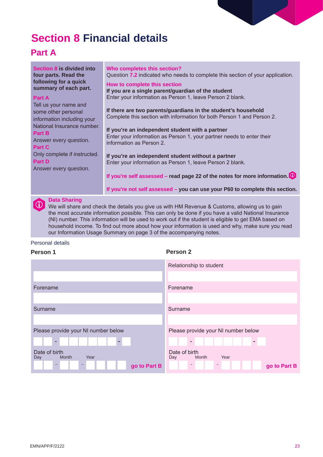### **Section 8 Financial details**

### **Part A**

| Section 8 is divided into<br>four parts. Read the<br>following for a quick<br>summary of each part.<br><b>Part A</b><br>Tell us your name and<br>some other personal<br>information including your<br>National Insurance number.<br>Part B<br>Answer every question.<br>Part C | Who completes this section?<br>Question 7.2 indicated who needs to complete this section of your application.<br>How to complete this section<br>If you are a single parent/guardian of the student<br>Enter your information as Person 1, leave Person 2 blank.<br>If there are two parents/guardians in the student's household<br>Complete this section with information for both Person 1 and Person 2.<br>If you're an independent student with a partner<br>Enter your information as Person 1, your partner needs to enter their<br>information as Person 2. |
|--------------------------------------------------------------------------------------------------------------------------------------------------------------------------------------------------------------------------------------------------------------------------------|---------------------------------------------------------------------------------------------------------------------------------------------------------------------------------------------------------------------------------------------------------------------------------------------------------------------------------------------------------------------------------------------------------------------------------------------------------------------------------------------------------------------------------------------------------------------|
| Only complete if instructed.<br>Part D<br>Answer every question.                                                                                                                                                                                                               | If you're an independent student without a partner<br>Enter your information as Person 1, leave Person 2 blank.                                                                                                                                                                                                                                                                                                                                                                                                                                                     |
|                                                                                                                                                                                                                                                                                | If you're self assessed – read page 22 of the notes for more information. $\bullet$                                                                                                                                                                                                                                                                                                                                                                                                                                                                                 |
|                                                                                                                                                                                                                                                                                | If you're not self assessed - you can use your P60 to complete this section.                                                                                                                                                                                                                                                                                                                                                                                                                                                                                        |
|                                                                                                                                                                                                                                                                                |                                                                                                                                                                                                                                                                                                                                                                                                                                                                                                                                                                     |

**in Data Sharing**<br>We will share and check the details you give us with HM Revenue & Customs, allowing us to gain the most accurate information possible. This can only be done if you have a valid National Insurance (NI) number. This information will be used to work out if the student is eligible to get EMA based on household income. To find out more about how your information is used and why, make sure you read our Information Usage Summary on page 3 of the accompanying notes.

#### Personal details

| Person 1                              | Person 2                              |  |  |  |
|---------------------------------------|---------------------------------------|--|--|--|
|                                       | Relationship to student               |  |  |  |
|                                       |                                       |  |  |  |
| Forename                              | Forename                              |  |  |  |
|                                       |                                       |  |  |  |
| Surname                               | Surname                               |  |  |  |
|                                       |                                       |  |  |  |
| Please provide your NI number below   | Please provide your NI number below   |  |  |  |
| ٠<br>$\sim$                           | ж.<br>$\sim$                          |  |  |  |
| Date of birth<br>Month<br>Year<br>Day | Date of birth<br>Year<br>Month<br>Day |  |  |  |
| m.<br>×.<br>go to Part B              | -<br>go to Part B                     |  |  |  |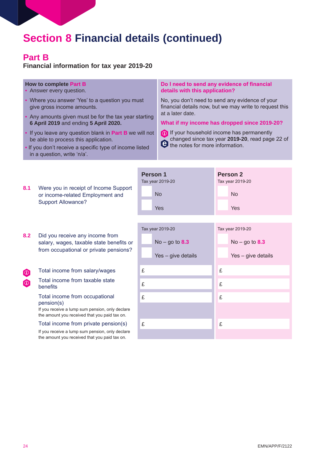### **Part B**

**Financial information for tax year 2019-20**

### **How to complete Part B**

- Answer every question.
- Where you answer 'Yes' to a question you must give gross income amounts.
- Any amounts given must be for the tax year starting **6 April 2019** and ending **5 April 2020.**
- If you leave any question blank in **Part B** we will not be able to process this application.
- If you don't receive a specific type of income listed in a question, write 'n/a'.

#### **Do I need to send any evidence of financial details with this application?**

No, you don't need to send any evidence of your financial details now, but we may write to request this at a later date.

#### **What if my income has dropped since 2019-20?**



**1** If your household income has permanently changed since tax year **2019-20**, read page 22 of the notes for more information.

|            |                                                                                                        | <b>Person 1</b><br>Tax year 2019-20 |                    |   | Person 2<br>Tax year 2019-20 |  |
|------------|--------------------------------------------------------------------------------------------------------|-------------------------------------|--------------------|---|------------------------------|--|
| 8.1        | Were you in receipt of Income Support<br>or income-related Employment and<br><b>Support Allowance?</b> |                                     | <b>No</b>          |   | <b>No</b>                    |  |
|            |                                                                                                        |                                     | Yes                |   | Yes                          |  |
|            |                                                                                                        |                                     | Tax year 2019-20   |   | Tax year 2019-20             |  |
| 8.2        | Did you receive any income from<br>salary, wages, taxable state benefits or                            |                                     | $No - go to 8.3$   |   | $No - go to 8.3$             |  |
|            | from occupational or private pensions?                                                                 |                                     | Yes - give details |   | Yes - give details           |  |
| $\bigcirc$ | Total income from salary/wages                                                                         | £                                   |                    | £ |                              |  |
| $\bigcirc$ | Total income from taxable state<br>benefits                                                            |                                     |                    | £ |                              |  |
|            | Total income from occupational<br>pension(s)                                                           | £                                   |                    | £ |                              |  |
|            | If you receive a lump sum pension, only declare<br>the amount you received that you paid tax on.       |                                     |                    |   |                              |  |
|            | Total income from private pension(s)                                                                   | £                                   |                    | £ |                              |  |
|            | If you receive a lump sum pension, only declare<br>the amount you received that you paid tax on.       |                                     |                    |   |                              |  |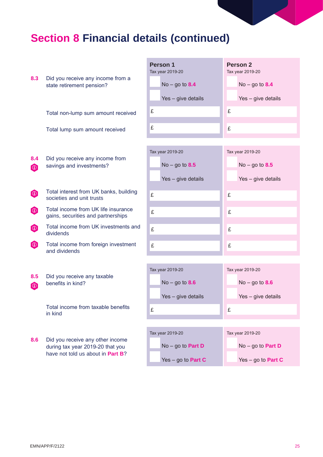| 8.3                          | Did you receive any income from a<br>state retirement pension?<br>Total non-lump sum amount received      | <b>Person 1</b><br>Tax year 2019-20<br>$No - go to 8.4$<br>Yes - give details<br>£<br>£ | Person 2<br>Tax year 2019-20<br>$No - go to 8.4$<br>Yes - give details<br>£<br>£ |  |  |
|------------------------------|-----------------------------------------------------------------------------------------------------------|-----------------------------------------------------------------------------------------|----------------------------------------------------------------------------------|--|--|
|                              | Total lump sum amount received                                                                            |                                                                                         |                                                                                  |  |  |
| 8.4<br>$\boldsymbol{\omega}$ | Did you receive any income from<br>savings and investments?                                               | Tax year 2019-20<br>$No - go to 8.5$<br>Yes - give details                              | Tax year 2019-20<br>$No - go to 8.5$<br>Yes - give details                       |  |  |
| $\boldsymbol{\omega}$        | Total interest from UK banks, building<br>societies and unit trusts                                       | £                                                                                       | £                                                                                |  |  |
| $\bigcirc$                   | Total income from UK life insurance<br>gains, securities and partnerships                                 | £                                                                                       | £                                                                                |  |  |
| $\bigcirc$                   | Total income from UK investments and<br>dividends                                                         | £                                                                                       | £                                                                                |  |  |
| $\boldsymbol{0}$             | Total income from foreign investment<br>and dividends                                                     | £                                                                                       | £                                                                                |  |  |
| 8.5<br>$\boldsymbol{0}$      | Did you receive any taxable<br>benefits in kind?<br>Total income from taxable benefits                    | Tax year 2019-20<br>$No - go to 8.6$<br>Yes - give details                              | Tax year 2019-20<br>$No - go to 8.6$<br>Yes - give details                       |  |  |
|                              | in kind                                                                                                   | £                                                                                       | £                                                                                |  |  |
| 8.6                          | Did you receive any other income<br>during tax year 2019-20 that you<br>have not told us about in Part B? | Tax year 2019-20<br>$No - go to Part D$<br>Yes $-$ go to <b>Part C</b>                  | Tax year 2019-20<br>$No - go to Part D$<br>Yes – go to <b>Part C</b>             |  |  |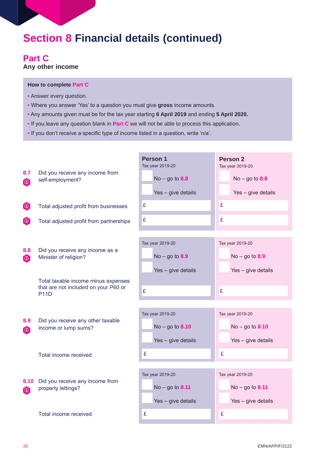### **Part C**

**Any other income**

#### **How to complete Part C**

- Answer every question.
- Where you answer 'Yes' to a question you must give **gross** income amounts.
- Any amounts given must be for the tax year starting **6 April 2019** and ending **5 April 2020.**
- If you leave any question blank in **Part C** we will not be able to process this application.
- If you don't receive a specific type of income listed in a question, write 'n/a'.

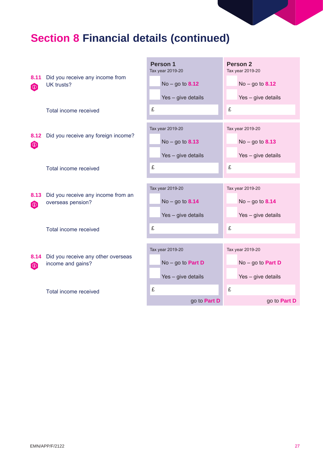|                    |                                                         | Person 1<br>Tax year 2019-20                                  | <b>Person 2</b><br>Tax year 2019-20                           |  |
|--------------------|---------------------------------------------------------|---------------------------------------------------------------|---------------------------------------------------------------|--|
| 8.11<br>$\bigcirc$ | Did you receive any income from<br>UK trusts?           | $No - go to 8.12$                                             | $No - go to 8.12$                                             |  |
|                    |                                                         | Yes - give details                                            | Yes - give details                                            |  |
|                    | Total income received                                   | £                                                             | £                                                             |  |
| 8.12<br>$\bigcirc$ | Did you receive any foreign income?                     | Tax year 2019-20<br>$No - go to 8.13$                         | Tax year 2019-20<br>$No - go to 8.13$                         |  |
|                    | Total income received                                   | Yes - give details<br>£                                       | Yes - give details<br>£                                       |  |
|                    |                                                         |                                                               |                                                               |  |
| 8.13<br>$\bigcirc$ | Did you receive any income from an<br>overseas pension? | Tax year 2019-20<br>$No - go to 8.14$                         | Tax year 2019-20<br>$No - go to 8.14$                         |  |
|                    | Total income received                                   | Yes - give details<br>£                                       | Yes - give details<br>£                                       |  |
| 8.14<br>$\bigcirc$ | Did you receive any other overseas<br>income and gains? | Tax year 2019-20<br>$No - go to Part D$<br>Yes - give details | Tax year 2019-20<br>$No - go to Part D$<br>Yes - give details |  |
|                    | Total income received                                   | £<br>go to Part D                                             | £<br>go to <b>Part D</b>                                      |  |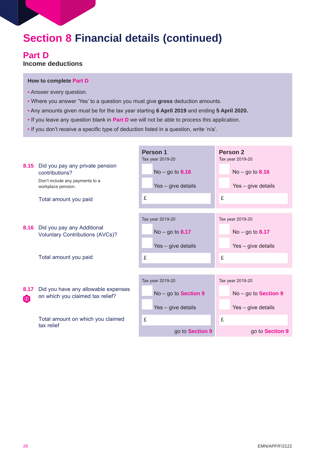### **Part D**

**Income deductions**

#### **How to complete Part D**

- Answer every question.
- Where you answer 'Yes' to a question you must give **gross** deduction amounts.
- Any amounts given must be for the tax year starting **6 April 2019** and ending **5 April 2020.**
- If you leave any question blank in **Part D** we will not be able to process this application.
- If you don't receive a specific type of deduction listed in a question, write 'n/a'.

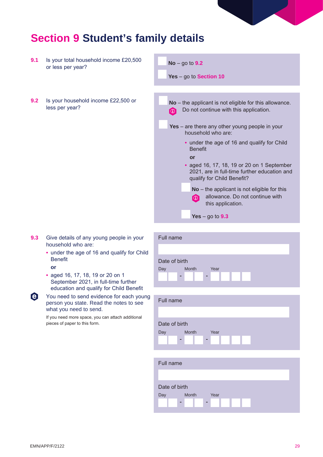

### **Section 9 Student's family details**

- **9.1** Is your total household income £20,500 or less per year?
- **9.2** Is your household income £22,500 or less per year?



- **9.3** Give details of any young people in your household who are:
	- under the age of 16 and qualify for Child Benefit
	- **or**
	- aged 16, 17, 18, 19 or 20 on 1 September 2021, in full-time further education and qualify for Child Benefit
- e. You need to send evidence for each young person you state. Read the notes to see what you need to send.

If you need more space, you can attach additional pieces of paper to this form.

| Full name                |  |  |  |  |
|--------------------------|--|--|--|--|
|                          |  |  |  |  |
| Date of birth            |  |  |  |  |
| Month<br>Year<br>Day     |  |  |  |  |
| $\sim$<br>$\blacksquare$ |  |  |  |  |
|                          |  |  |  |  |
|                          |  |  |  |  |
| Full name                |  |  |  |  |
|                          |  |  |  |  |
| Date of birth            |  |  |  |  |
| Month<br>Year<br>Day     |  |  |  |  |
| $\sim$<br>$\blacksquare$ |  |  |  |  |

| Full name |               |      |  |  |
|-----------|---------------|------|--|--|
|           |               |      |  |  |
|           | Date of birth |      |  |  |
| Day       | Month         | Year |  |  |
|           | m.            | m.   |  |  |
|           |               |      |  |  |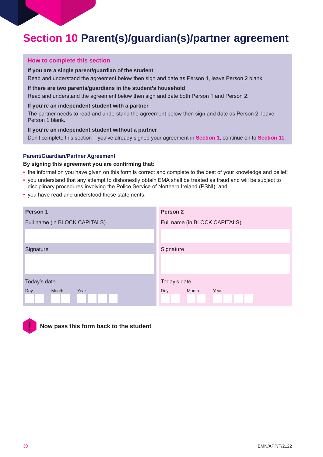### **Section 10 Parent(s)/guardian(s)/partner agreement**

#### **How to complete this section**

#### **If you are a single parent/guardian of the student**

Read and understand the agreement below then sign and date as Person 1, leave Person 2 blank.

#### **If there are two parents/guardians in the student's household**

Read and understand the agreement below then sign and date both Person 1 and Person 2.

#### **If you're an independent student with a partner**

The partner needs to read and understand the agreement below then sign and date as Person 2, leave Person 1 blank.

**If you're an independent student without a partner**

Don't complete this section – you've already signed your agreement in **Section 1**, continue on to **Section 11**.

#### **Parent/Guardian/Partner Agreement**

#### **By signing this agreement you are confirming that:**

- the information you have given on this form is correct and complete to the best of your knowledge and belief;
- you understand that any attempt to dishonestly obtain EMA shall be treated as fraud and will be subject to disciplinary procedures involving the Police Service of Northern Ireland (PSNI); and
- you have read and understood these statements.

| Person 1                      | Person <sub>2</sub>           |  |  |
|-------------------------------|-------------------------------|--|--|
| Full name (in BLOCK CAPITALS) | Full name (in BLOCK CAPITALS) |  |  |
|                               |                               |  |  |
| Signature                     | Signature                     |  |  |
|                               |                               |  |  |
| Today's date                  | Today's date                  |  |  |
| Month<br>Day<br>Year          | Month<br>Year<br>Day          |  |  |
| ۰<br>$\sim$                   | ٠<br>-                        |  |  |



**Now pass this form back to the student**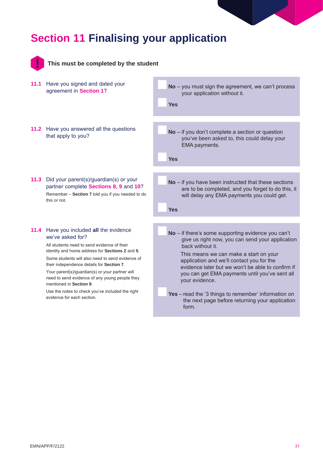### **Section 11 Finalising your application**



This must be completed by the studer

**11.1** Have you signed and dated your agreement in **Section 1**?

**11.2** Have you answered all the questions that apply to you?

**11.3** Did your parent(s)/guardian(s) or your partner complete **Sections 8, 9** and **10**? Remember – **Section 7** told you if you needed to do this or not.

#### **11.4** Have you included **all** the evidence we've asked for?

All students need to send evidence of their identity and home address for **Sections 2** and **5**. Some students will also need to send evidence of their independence details for **Section 7**.

Your parent(s)/guardian(s) or your partner will need to send evidence of any young people they mentioned in **Section 9**.

Use the notes to check you've included the right evidence for each section.

| nt |                                                                                                                                                                        |
|----|------------------------------------------------------------------------------------------------------------------------------------------------------------------------|
|    | No - you must sign the agreement, we can't process<br>your application without it.<br><b>Yes</b>                                                                       |
|    | $No$ – if you don't complete a section or question                                                                                                                     |
|    | you've been asked to, this could delay your<br>EMA payments.                                                                                                           |
|    | <b>Yes</b>                                                                                                                                                             |
|    |                                                                                                                                                                        |
|    | $No$ – if you have been instructed that these sections<br>are to be completed, and you forget to do this, it<br>will delay any EMA payments you could get.             |
|    | Yes                                                                                                                                                                    |
|    |                                                                                                                                                                        |
|    | $No$ – if there's some supporting evidence you can't<br>give us right now, you can send your application<br>back without it.<br>This means we can make a start on your |
|    | application and we'll contact you for the<br>evidence later but we won't be able to confirm if<br>you can get EMA payments until you've sent all<br>your evidence.     |
|    |                                                                                                                                                                        |
|    | Yes - read the '3 things to remember' information on<br>the next page before returning your application<br>form.                                                       |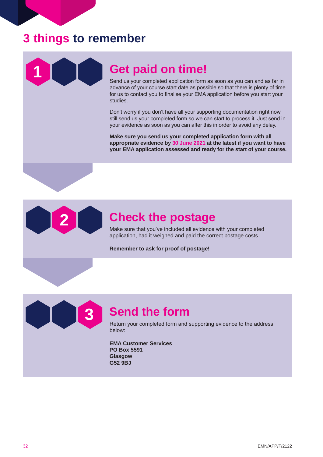### **3 things to remember**



### **1 Get paid on time!**

Send us your completed application form as soon as you can and as far in advance of your course start date as possible so that there is plenty of time for us to contact you to finalise your EMA application before you start your studies.

Don't worry if you don't have all your supporting documentation right now, still send us your completed form so we can start to process it. Just send in your evidence as soon as you can after this in order to avoid any delay.

**Make sure you send us your completed application form with all appropriate evidence by 30 June 2021 at the latest if you want to have your EMA application assessed and ready for the start of your course.**



### **2 Check the postage**

Make sure that you've included all evidence with your completed application, had it weighed and paid the correct postage costs.

**Remember to ask for proof of postage!**



### **3 Send the form**

Return your completed form and supporting evidence to the address below:

**EMA Customer Services PO Box 5591 Glasgow G52 9BJ**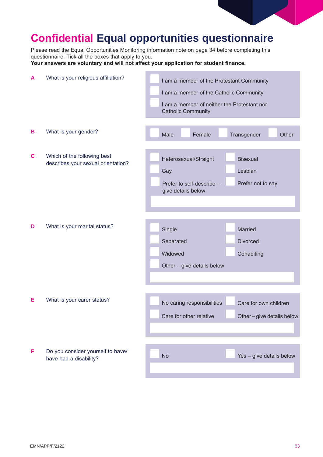

### **Confidential Equal opportunities questionnaire**

Please read the Equal Opportunities Monitoring information note on page 34 before completing this questionnaire. Tick all the boxes that apply to you.

**Your answers are voluntary and will not affect your application for student finance.**

| A           | What is your religious affiliation?                               | I am a member of the Protestant Community<br>I am a member of the Catholic Community<br>I am a member of neither the Protestant nor<br><b>Catholic Community</b> |  |  |
|-------------|-------------------------------------------------------------------|------------------------------------------------------------------------------------------------------------------------------------------------------------------|--|--|
| B           | What is your gender?                                              | Male<br>Female<br>Transgender<br>Other                                                                                                                           |  |  |
| $\mathbf c$ | Which of the following best<br>describes your sexual orientation? | <b>Bisexual</b><br>Heterosexual/Straight<br>Lesbian<br>Gay<br>Prefer not to say<br>Prefer to self-describe -<br>give details below                               |  |  |
| D           | What is your marital status?                                      | Single<br>Married<br><b>Divorced</b><br>Separated<br>Widowed<br>Cohabiting<br>Other - give details below                                                         |  |  |
| Е           | What is your carer status?                                        | No caring responsibilities<br>Care for own children<br>Care for other relative<br>Other-give details below                                                       |  |  |
| F           | Do you consider yourself to have/<br>have had a disability?       | Yes - give details below<br><b>No</b>                                                                                                                            |  |  |